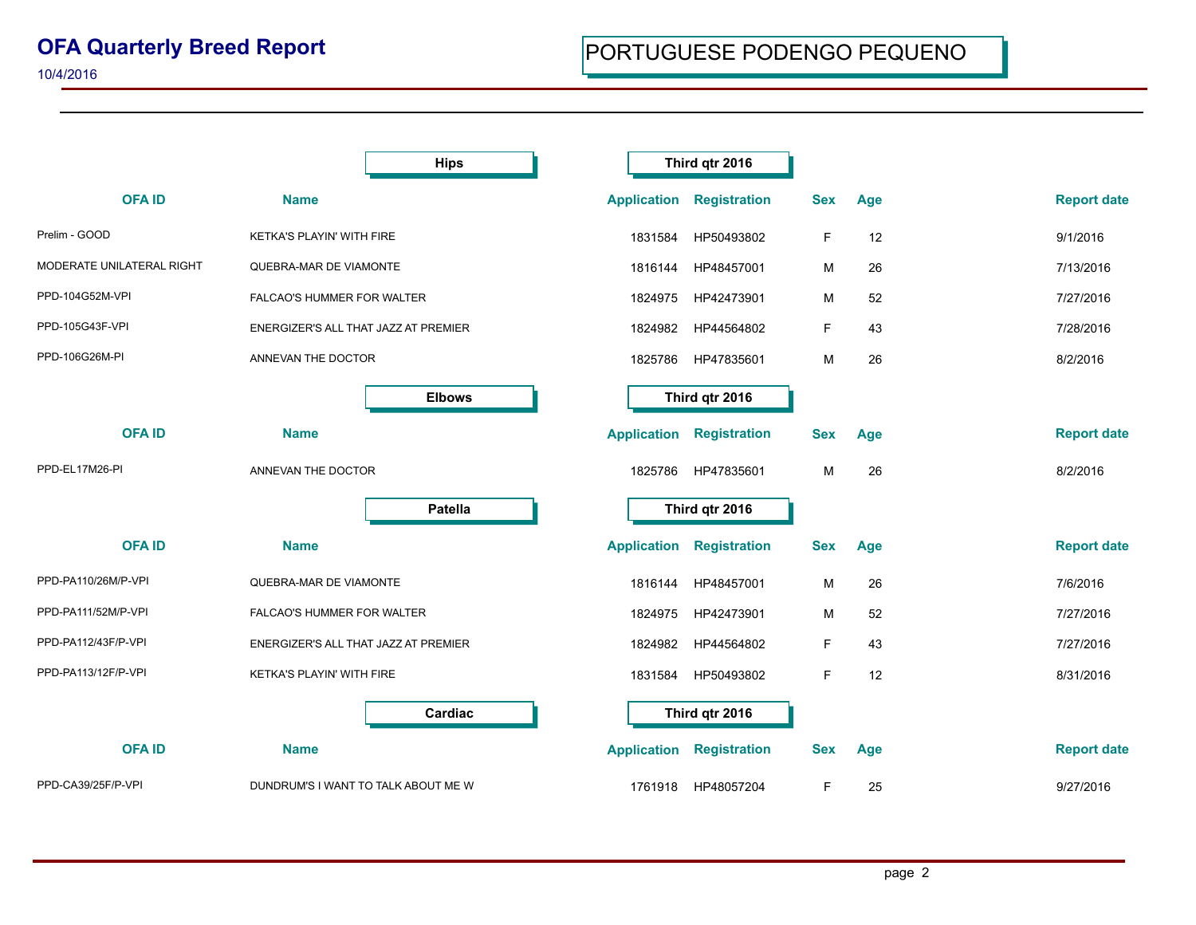## **OFA Quarterly Breed Report**

10/4/2016

|                           |                                      | <b>Hips</b>   |                    | Third qtr 2016      |            |     |                    |
|---------------------------|--------------------------------------|---------------|--------------------|---------------------|------------|-----|--------------------|
| <b>OFAID</b>              | <b>Name</b>                          |               | <b>Application</b> | <b>Registration</b> | <b>Sex</b> | Age | <b>Report date</b> |
| Prelim - GOOD             | KETKA'S PLAYIN' WITH FIRE            |               | 1831584            | HP50493802          | F          | 12  | 9/1/2016           |
| MODERATE UNILATERAL RIGHT | QUEBRA-MAR DE VIAMONTE               |               | 1816144            | HP48457001          | м          | 26  | 7/13/2016          |
| PPD-104G52M-VPI           | FALCAO'S HUMMER FOR WALTER           |               | 1824975            | HP42473901          | М          | 52  | 7/27/2016          |
| PPD-105G43F-VPI           | ENERGIZER'S ALL THAT JAZZ AT PREMIER |               | 1824982            | HP44564802          | F          | 43  | 7/28/2016          |
| PPD-106G26M-PI            | ANNEVAN THE DOCTOR                   |               | 1825786            | HP47835601          | M          | 26  | 8/2/2016           |
|                           |                                      | <b>Elbows</b> |                    | Third qtr 2016      |            |     |                    |
| <b>OFAID</b>              | <b>Name</b>                          |               | <b>Application</b> | <b>Registration</b> | <b>Sex</b> | Age | <b>Report date</b> |
| PPD-EL17M26-PI            | ANNEVAN THE DOCTOR                   |               | 1825786            | HP47835601          | м          | 26  | 8/2/2016           |
|                           |                                      | Patella       |                    | Third qtr 2016      |            |     |                    |
| <b>OFAID</b>              | <b>Name</b>                          |               | <b>Application</b> | <b>Registration</b> | <b>Sex</b> | Age | <b>Report date</b> |
| PPD-PA110/26M/P-VPI       | QUEBRA-MAR DE VIAMONTE               |               | 1816144            | HP48457001          | M          | 26  | 7/6/2016           |
| PPD-PA111/52M/P-VPI       | FALCAO'S HUMMER FOR WALTER           |               | 1824975            | HP42473901          | М          | 52  | 7/27/2016          |
| PPD-PA112/43F/P-VPI       | ENERGIZER'S ALL THAT JAZZ AT PREMIER |               | 1824982            | HP44564802          | F          | 43  | 7/27/2016          |
| PPD-PA113/12F/P-VPI       | KETKA'S PLAYIN' WITH FIRE            |               | 1831584            | HP50493802          | F          | 12  | 8/31/2016          |
|                           |                                      | Cardiac       |                    | Third qtr 2016      |            |     |                    |
| <b>OFAID</b>              | <b>Name</b>                          |               | <b>Application</b> | <b>Registration</b> | <b>Sex</b> | Age | <b>Report date</b> |
| PPD-CA39/25F/P-VPI        | DUNDRUM'S I WANT TO TALK ABOUT ME W  |               | 1761918            | HP48057204          | F.         | 25  | 9/27/2016          |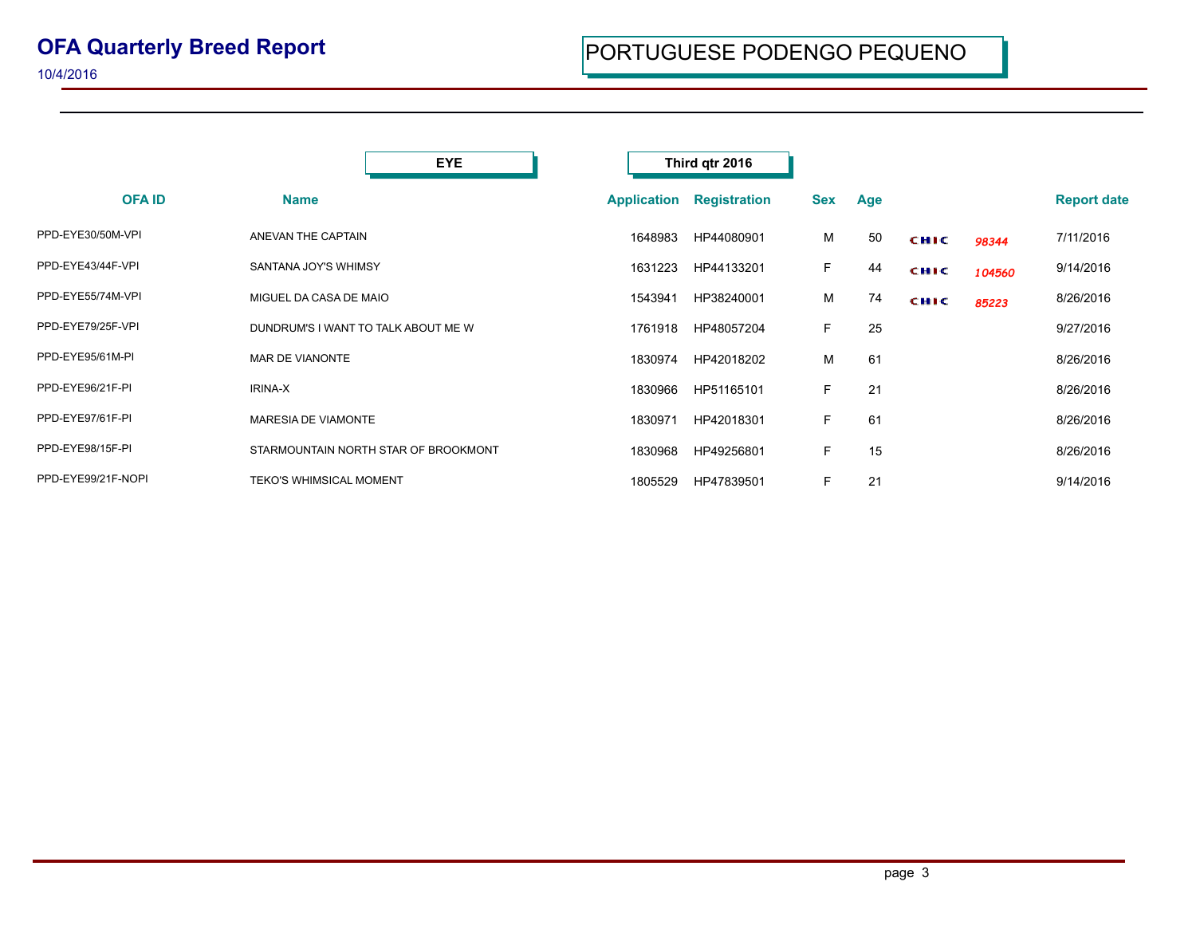10/4/2016

|                    | <b>EYE</b>                           |                    | Third qtr 2016      |            |     |             |        |                    |
|--------------------|--------------------------------------|--------------------|---------------------|------------|-----|-------------|--------|--------------------|
| <b>OFA ID</b>      | <b>Name</b>                          | <b>Application</b> | <b>Registration</b> | <b>Sex</b> | Age |             |        | <b>Report date</b> |
| PPD-EYE30/50M-VPI  | ANEVAN THE CAPTAIN                   | 1648983            | HP44080901          | м          | 50  | <b>CHIC</b> | 98344  | 7/11/2016          |
| PPD-EYE43/44F-VPI  | SANTANA JOY'S WHIMSY                 | 1631223            | HP44133201          | F.         | 44  | <b>CHIC</b> | 104560 | 9/14/2016          |
| PPD-EYE55/74M-VPI  | MIGUEL DA CASA DE MAIO               | 1543941            | HP38240001          | м          | 74  | <b>CHIC</b> | 85223  | 8/26/2016          |
| PPD-EYE79/25F-VPI  | DUNDRUM'S I WANT TO TALK ABOUT ME W  | 1761918            | HP48057204          | F.         | 25  |             |        | 9/27/2016          |
| PPD-EYE95/61M-PI   | MAR DE VIANONTE                      | 1830974            | HP42018202          | м          | 61  |             |        | 8/26/2016          |
| PPD-EYE96/21F-PI   | <b>IRINA-X</b>                       | 1830966            | HP51165101          | F.         | 21  |             |        | 8/26/2016          |
| PPD-EYE97/61F-PI   | MARESIA DE VIAMONTE                  | 1830971            | HP42018301          | F.         | 61  |             |        | 8/26/2016          |
| PPD-EYE98/15F-PI   | STARMOUNTAIN NORTH STAR OF BROOKMONT | 1830968            | HP49256801          | F.         | 15  |             |        | 8/26/2016          |
| PPD-EYE99/21F-NOPI | <b>TEKO'S WHIMSICAL MOMENT</b>       | 1805529            | HP47839501          | F.         | 21  |             |        | 9/14/2016          |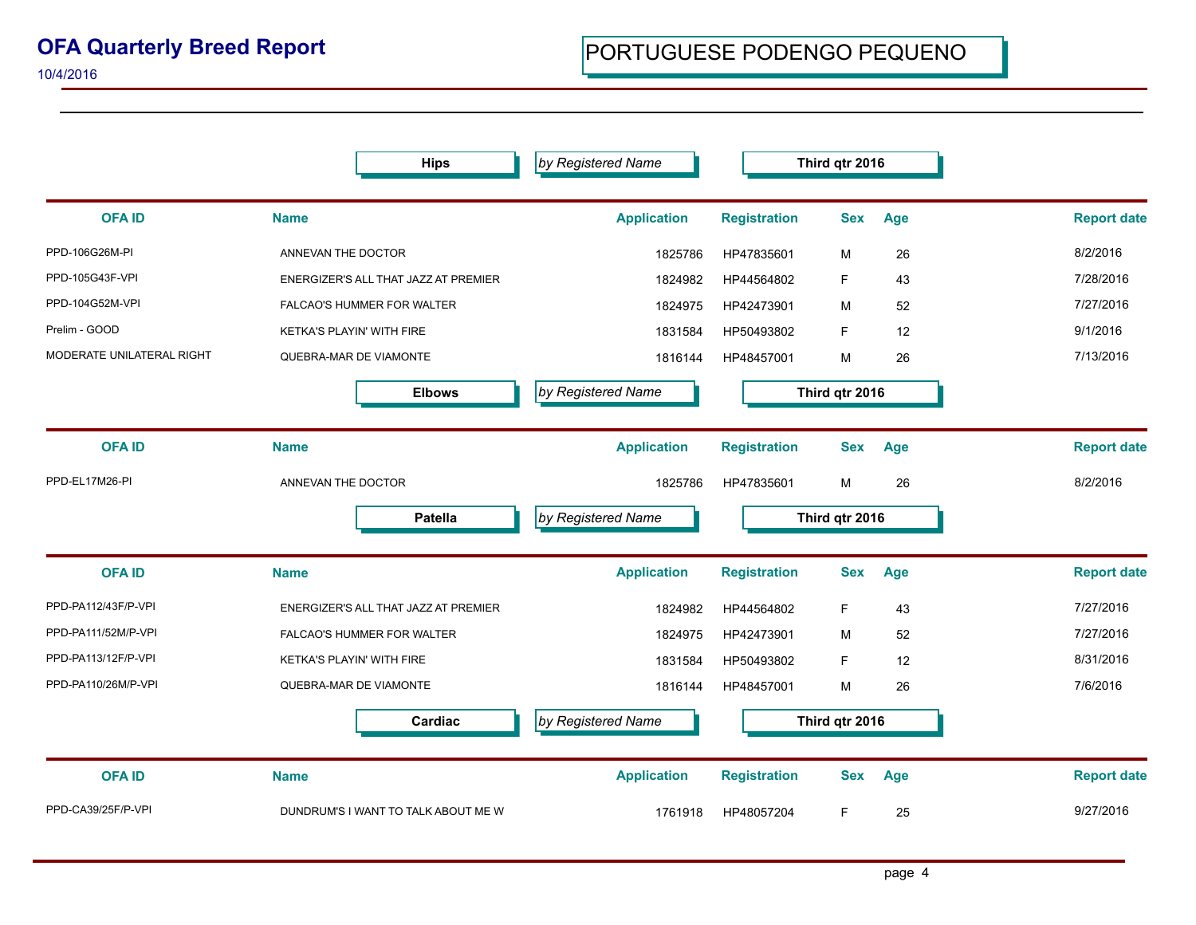## **OFA Quarterly Breed Report**

**by Registered Name Third qtr 2016** 

10/4/2016

**Hips**

| <b>OFA ID</b>             | <b>Name</b>                          | <b>Application</b> | <b>Registration</b> | <b>Sex</b>     | Age | <b>Report date</b> |
|---------------------------|--------------------------------------|--------------------|---------------------|----------------|-----|--------------------|
| PPD-106G26M-PI            | ANNEVAN THE DOCTOR                   | 1825786            | HP47835601          | M              | 26  | 8/2/2016           |
| PPD-105G43F-VPI           | ENERGIZER'S ALL THAT JAZZ AT PREMIER | 1824982            | HP44564802          | F.             | 43  | 7/28/2016          |
| PPD-104G52M-VPI           | <b>FALCAO'S HUMMER FOR WALTER</b>    | 1824975            | HP42473901          | M              | 52  | 7/27/2016          |
| Prelim - GOOD             | KETKA'S PLAYIN' WITH FIRE            | 1831584            | HP50493802          | F              | 12  | 9/1/2016           |
| MODERATE UNILATERAL RIGHT | QUEBRA-MAR DE VIAMONTE               | 1816144            | HP48457001          | M              | 26  | 7/13/2016          |
|                           | <b>Elbows</b>                        | by Registered Name |                     | Third qtr 2016 |     |                    |
| <b>OFAID</b>              | <b>Name</b>                          | <b>Application</b> | <b>Registration</b> | <b>Sex</b>     | Age | <b>Report date</b> |
| PPD-EL17M26-PI            | ANNEVAN THE DOCTOR                   | 1825786            | HP47835601          | м              | 26  | 8/2/2016           |
|                           | <b>Patella</b>                       | by Registered Name |                     | Third qtr 2016 |     |                    |
| <b>OFAID</b>              | <b>Name</b>                          | <b>Application</b> | <b>Registration</b> | <b>Sex</b>     | Age | <b>Report date</b> |
| PPD-PA112/43F/P-VPI       | ENERGIZER'S ALL THAT JAZZ AT PREMIER | 1824982            | HP44564802          | F              | 43  | 7/27/2016          |
| PPD-PA111/52M/P-VPI       | FALCAO'S HUMMER FOR WALTER           | 1824975            | HP42473901          | M              | 52  | 7/27/2016          |
| PPD-PA113/12F/P-VPI       | KETKA'S PLAYIN' WITH FIRE            | 1831584            | HP50493802          | F.             | 12  | 8/31/2016          |
| PPD-PA110/26M/P-VPI       | QUEBRA-MAR DE VIAMONTE               | 1816144            | HP48457001          | M              | 26  | 7/6/2016           |
|                           | Cardiac                              | by Registered Name |                     | Third qtr 2016 |     |                    |
| <b>OFAID</b>              | <b>Name</b>                          | <b>Application</b> | <b>Registration</b> | <b>Sex</b>     | Age | <b>Report date</b> |
| PPD-CA39/25F/P-VPI        | DUNDRUM'S I WANT TO TALK ABOUT ME W  | 1761918            | HP48057204          | F.             | 25  | 9/27/2016          |